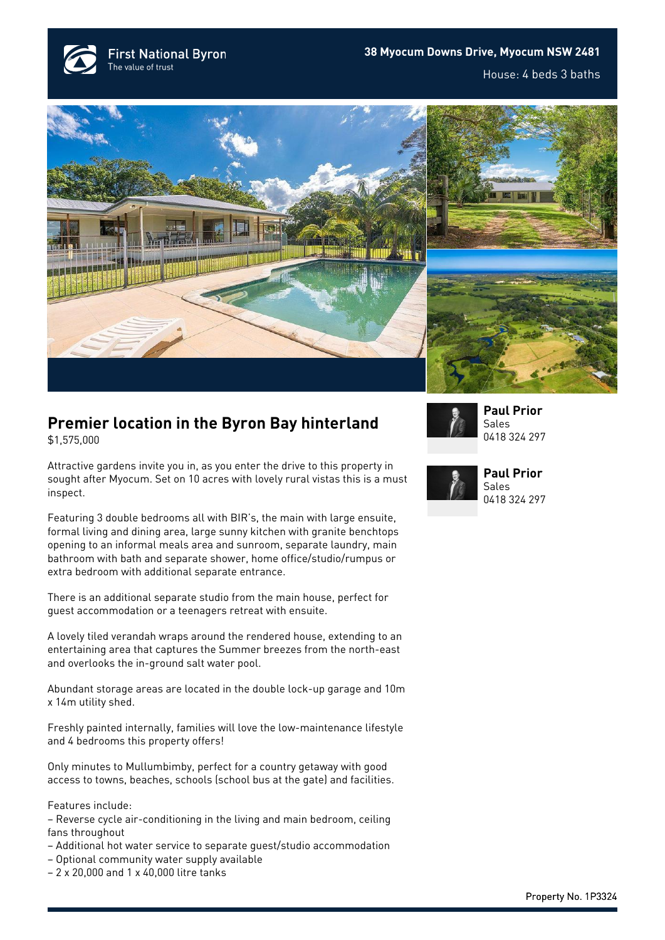**First National Byron** The value of trust







## **Premier location in the Byron Bay hinterland**

\$1,575,000

Attractive gardens invite you in, as you enter the drive to this property in sought after Myocum. Set on 10 acres with lovely rural vistas this is a must inspect.

Featuring 3 double bedrooms all with BIR's, the main with large ensuite, formal living and dining area, large sunny kitchen with granite benchtops opening to an informal meals area and sunroom, separate laundry, main bathroom with bath and separate shower, home office/studio/rumpus or extra bedroom with additional separate entrance.

There is an additional separate studio from the main house, perfect for guest accommodation or a teenagers retreat with ensuite.

A lovely tiled verandah wraps around the rendered house, extending to an entertaining area that captures the Summer breezes from the north-east and overlooks the in-ground salt water pool.

Abundant storage areas are located in the double lock-up garage and 10m x 14m utility shed.

Freshly painted internally, families will love the low-maintenance lifestyle and 4 bedrooms this property offers!

Only minutes to Mullumbimby, perfect for a country getaway with good access to towns, beaches, schools (school bus at the gate) and facilities.

Features include:

- Reverse cycle air-conditioning in the living and main bedroom, ceiling fans throughout
- Additional hot water service to separate guest/studio accommodation
- Optional community water supply available
- 2 x 20,000 and 1 x 40,000 litre tanks



**[Paul Prior](https://www.byronbayfn.com.au/agents/paul-prior/)** Sales [0418 324 297](#page--1-0)



**[Paul Prior](https://www.byronbayfn.com.au/agents/paul-prior/)** Sales [0418 324 297](#page--1-0)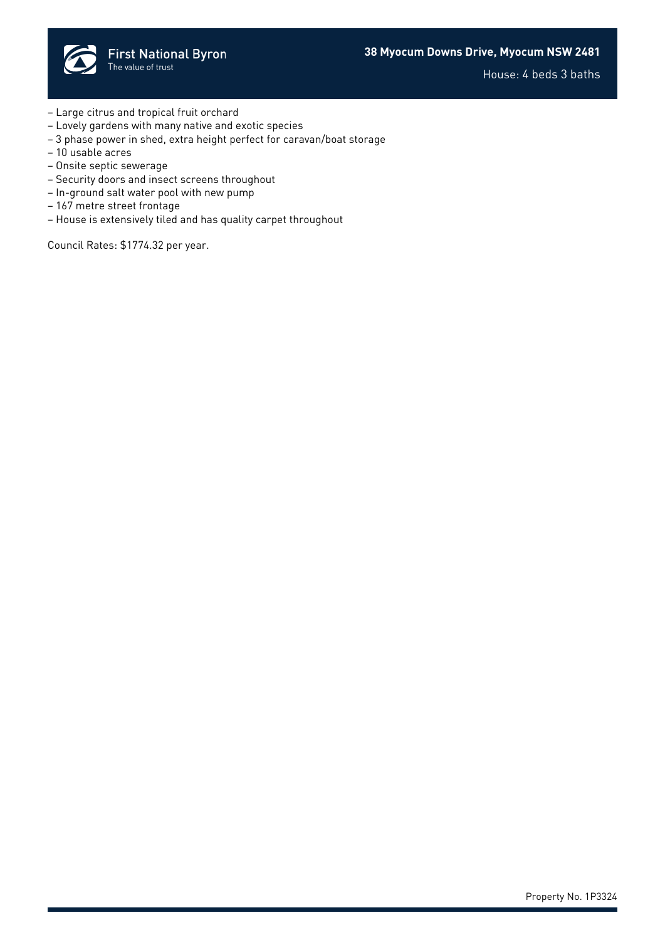

House: 4 beds 3 baths

- Large citrus and tropical fruit orchard
- Lovely gardens with many native and exotic species
- 3 phase power in shed, extra height perfect for caravan/boat storage
- 10 usable acres
- Onsite septic sewerage
- Security doors and insect screens throughout
- In-ground salt water pool with new pump
- 167 metre street frontage
- House is extensively tiled and has quality carpet throughout

Council Rates: \$1774.32 per year.